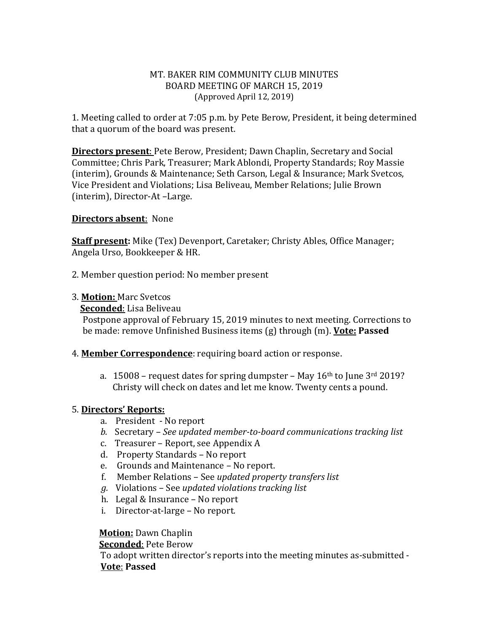#### MT. BAKER RIM COMMUNITY CLUB MINUTES BOARD MEETING OF MARCH 15, 2019 (Approved April 12, 2019)

1. Meeting called to order at 7:05 p.m. by Pete Berow, President, it being determined that a quorum of the board was present.

**Directors present**: Pete Berow, President; Dawn Chaplin, Secretary and Social Committee; Chris Park, Treasurer; Mark Ablondi, Property Standards; Roy Massie (interim), Grounds & Maintenance; Seth Carson, Legal & Insurance; Mark Svetcos, Vice President and Violations; Lisa Beliveau, Member Relations; Julie Brown (interim), Director-At –Large.

#### **Directors absent**: None

**Staff present:** Mike (Tex) Devenport, Caretaker; Christy Ables, Office Manager; Angela Urso, Bookkeeper & HR.

2. Member question period: No member present

3. **Motion:** Marc Svetcos

**Seconded**: Lisa Beliveau

Postpone approval of February 15, 2019 minutes to next meeting. Corrections to be made: remove Unfinished Business items (g) through (m). **Vote: Passed**

- 4. **Member Correspondence**: requiring board action or response.
	- a. 15008 request dates for spring dumpster May  $16<sup>th</sup>$  to June  $3<sup>rd</sup> 2019$ ? Christy will check on dates and let me know. Twenty cents a pound.

#### 5. **Directors' Reports:**

- a. President No report
- *b.* Secretary *See updated member-to-board communications tracking list*
- c. Treasurer Report, see Appendix A
- d. Property Standards No report
- e. Grounds and Maintenance No report.
- f. Member Relations See *updated property transfers list*
- *g.* Violations See *updated violations tracking list*
- h. Legal & Insurance No report
- i. Director-at-large No report*.*

#### **Motion:** Dawn Chaplin

**Seconded**: Pete Berow

To adopt written director's reports into the meeting minutes as-submitted - **Vote**: **Passed**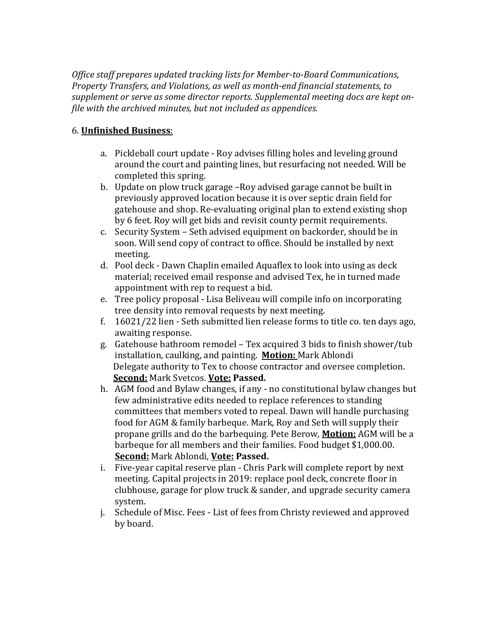*Office staff prepares updated tracking lists for Member-to-Board Communications, Property Transfers, and Violations, as well as month-end financial statements, to supplement or serve as some director reports. Supplemental meeting docs are kept onfile with the archived minutes, but not included as appendices.*

### 6. **Unfinished Business**:

- a. Pickleball court update Roy advises filling holes and leveling ground around the court and painting lines, but resurfacing not needed. Will be completed this spring.
- b. Update on plow truck garage –Roy advised garage cannot be built in previously approved location because it is over septic drain field for gatehouse and shop. Re-evaluating original plan to extend existing shop by 6 feet. Roy will get bids and revisit county permit requirements.
- c. Security System Seth advised equipment on backorder, should be in soon. Will send copy of contract to office. Should be installed by next meeting.
- d. Pool deck Dawn Chaplin emailed Aquaflex to look into using as deck material; received email response and advised Tex, he in turned made appointment with rep to request a bid.
- e. Tree policy proposal Lisa Beliveau will compile info on incorporating tree density into removal requests by next meeting.
- f. 16021/22 lien Seth submitted lien release forms to title co. ten days ago, awaiting response.
- g. Gatehouse bathroom remodel Tex acquired 3 bids to finish shower/tub installation, caulking, and painting. **Motion:** Mark Ablondi Delegate authority to Tex to choose contractor and oversee completion. **Second:** Mark Svetcos. **Vote: Passed.**
- h. AGM food and Bylaw changes, if any no constitutional bylaw changes but few administrative edits needed to replace references to standing committees that members voted to repeal. Dawn will handle purchasing food for AGM & family barbeque. Mark, Roy and Seth will supply their propane grills and do the barbequing. Pete Berow, **Motion:** AGM will be a barbeque for all members and their families. Food budget \$1,000.00. **Second:** Mark Ablondi, **Vote: Passed.**
- i. Five-year capital reserve plan Chris Park will complete report by next meeting. Capital projects in 2019: replace pool deck, concrete floor in clubhouse, garage for plow truck & sander, and upgrade security camera system.
- j. Schedule of Misc. Fees List of fees from Christy reviewed and approved by board.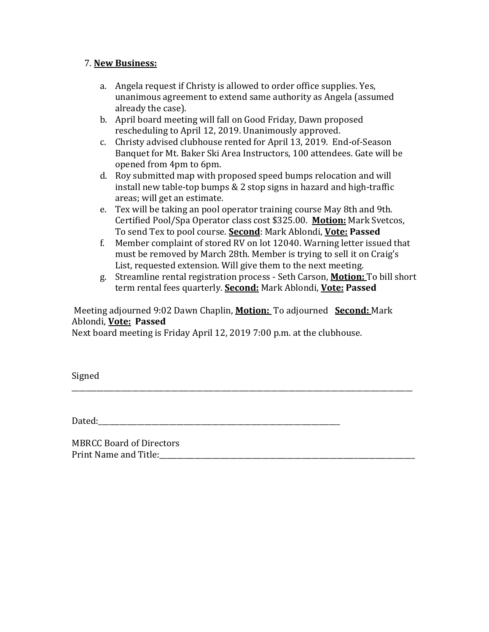#### 7. **New Business:**

- a. Angela request if Christy is allowed to order office supplies. Yes, unanimous agreement to extend same authority as Angela (assumed already the case).
- b. April board meeting will fall on Good Friday, Dawn proposed rescheduling to April 12, 2019. Unanimously approved.
- c. Christy advised clubhouse rented for April 13, 2019. End-of-Season Banquet for Mt. Baker Ski Area Instructors, 100 attendees. Gate will be opened from 4pm to 6pm.
- d. Roy submitted map with proposed speed bumps relocation and will install new table-top bumps & 2 stop signs in hazard and high-traffic areas; will get an estimate.
- e. Tex will be taking an pool operator training course May 8th and 9th. Certified Pool/Spa Operator class cost \$325.00. **Motion:** Mark Svetcos, To send Tex to pool course. **Second**: Mark Ablondi, **Vote: Passed**
- f. Member complaint of stored RV on lot 12040. Warning letter issued that must be removed by March 28th. Member is trying to sell it on Craig's List, requested extension. Will give them to the next meeting.
- g. Streamline rental registration process Seth Carson, **Motion:** To bill short term rental fees quarterly. **Second:** Mark Ablondi, **Vote: Passed**

#### Meeting adjourned 9:02 Dawn Chaplin, **Motion:** To adjourned **Second:** Mark Ablondi, **Vote: Passed**

\_\_\_\_\_\_\_\_\_\_\_\_\_\_\_\_\_\_\_\_\_\_\_\_\_\_\_\_\_\_\_\_\_\_\_\_\_\_\_\_\_\_\_\_\_\_\_\_\_\_\_\_\_\_\_\_\_\_\_\_\_\_\_\_\_\_\_\_\_\_\_\_\_\_\_\_\_\_\_\_\_\_\_\_\_\_\_\_\_\_\_\_\_\_\_\_

Next board meeting is Friday April 12, 2019 7:00 p.m. at the clubhouse.

Signed

Dated:

MBRCC Board of Directors Print Name and Title:\_\_\_\_\_\_\_\_\_\_\_\_\_\_\_\_\_\_\_\_\_\_\_\_\_\_\_\_\_\_\_\_\_\_\_\_\_\_\_\_\_\_\_\_\_\_\_\_\_\_\_\_\_\_\_\_\_\_\_\_\_\_\_\_\_\_\_\_\_\_\_\_